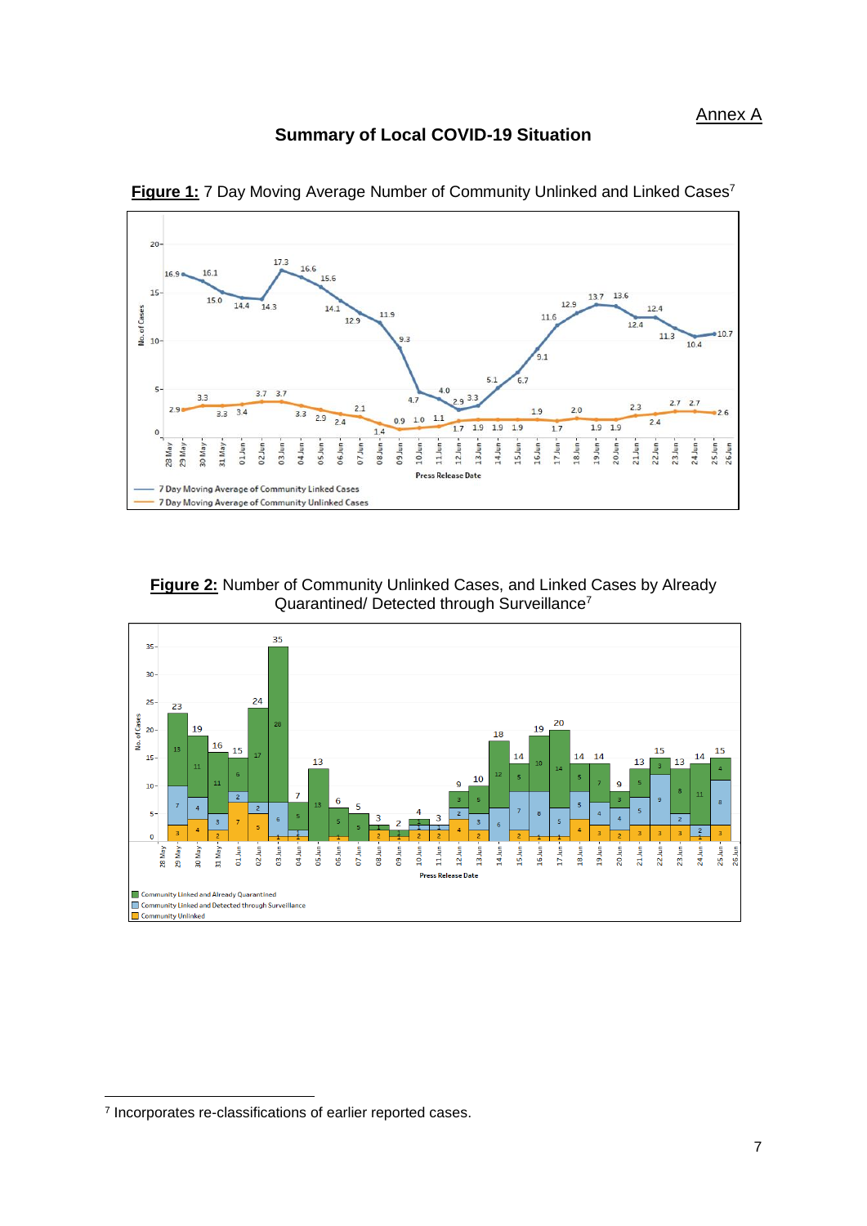#### <span id="page-0-0"></span>**Summary of Local COVID-19 Situation**



**Figure 1:** 7 Day Moving Average Number of Community Unlinked and Linked Cases<sup>7</sup>





**.** 

<sup>&</sup>lt;sup>7</sup> Incorporates re-classifications of earlier reported cases.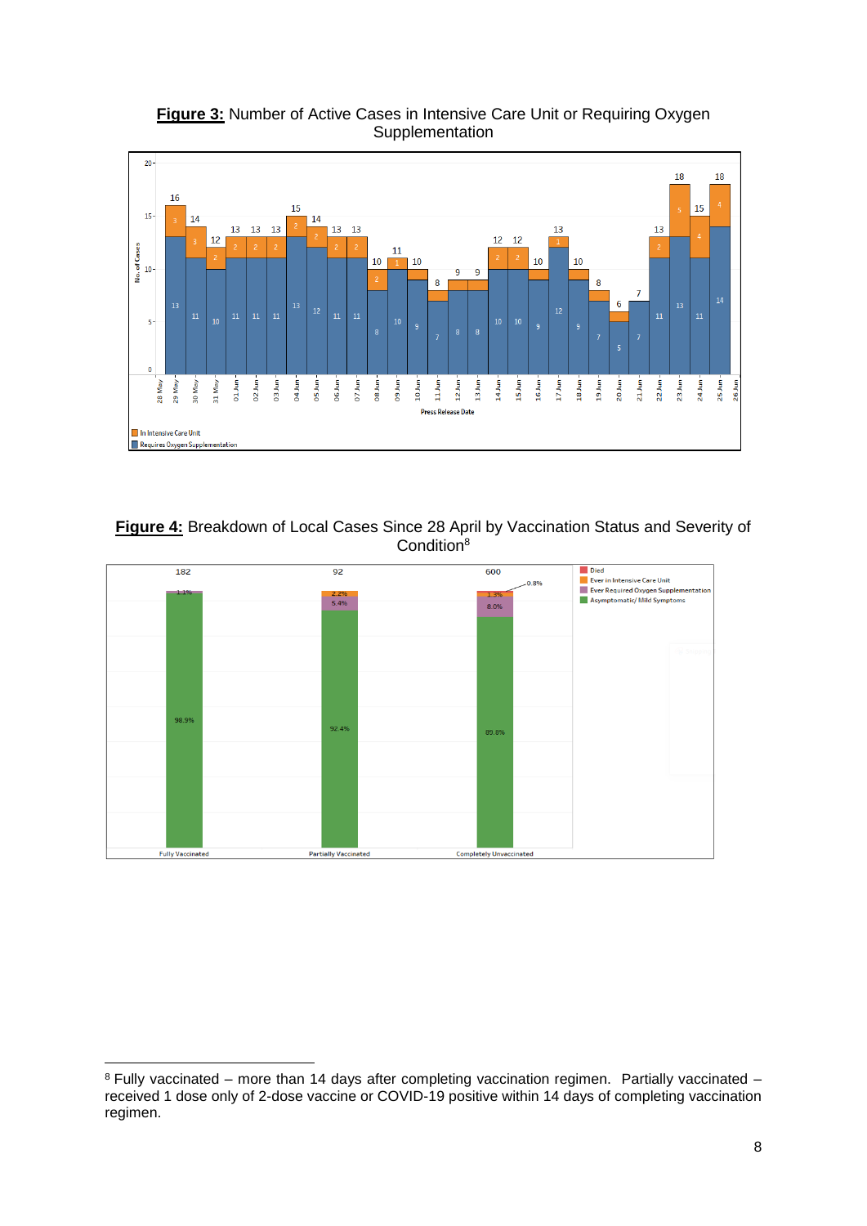

**Figure 3:** Number of Active Cases in Intensive Care Unit or Requiring Oxygen **Supplementation** 

**Figure 4:** Breakdown of Local Cases Since 28 April by Vaccination Status and Severity of Condition<sup>8</sup>



<sup>1</sup> <sup>8</sup> Fully vaccinated – more than 14 days after completing vaccination regimen. Partially vaccinated – received 1 dose only of 2-dose vaccine or COVID-19 positive within 14 days of completing vaccination regimen.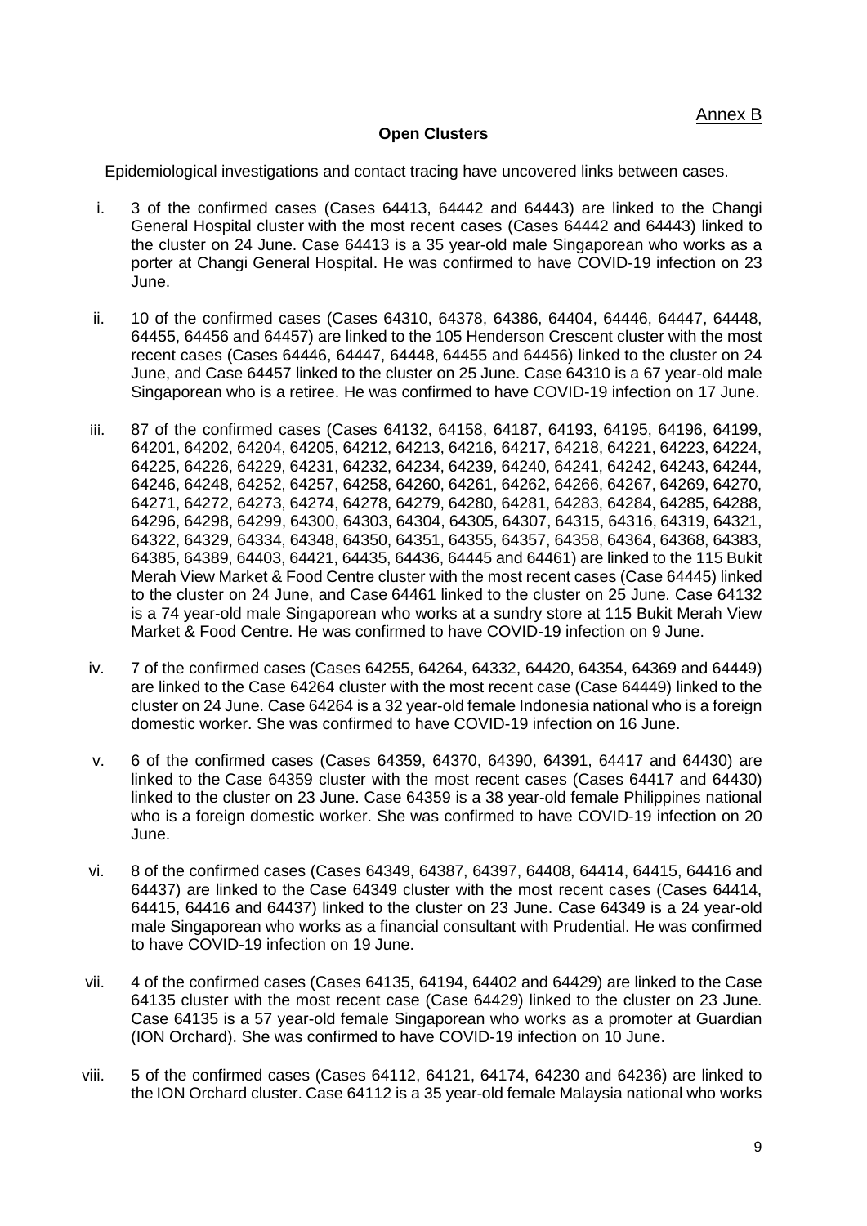#### **Open Clusters**

Epidemiological investigations and contact tracing have uncovered links between cases.

- i. 3 of the confirmed cases (Cases 64413, 64442 and 64443) are linked to the Changi General Hospital cluster with the most recent cases (Cases 64442 and 64443) linked to the cluster on 24 June. Case 64413 is a 35 year-old male Singaporean who works as a porter at Changi General Hospital. He was confirmed to have COVID-19 infection on 23 June.
- ii. 10 of the confirmed cases (Cases 64310, 64378, 64386, 64404, 64446, 64447, 64448, 64455, 64456 and 64457) are linked to the 105 Henderson Crescent cluster with the most recent cases (Cases 64446, 64447, 64448, 64455 and 64456) linked to the cluster on 24 June, and Case 64457 linked to the cluster on 25 June. Case 64310 is a 67 year-old male Singaporean who is a retiree. He was confirmed to have COVID-19 infection on 17 June.
- iii. 87 of the confirmed cases (Cases 64132, 64158, 64187, 64193, 64195, 64196, 64199, 64201, 64202, 64204, 64205, 64212, 64213, 64216, 64217, 64218, 64221, 64223, 64224, 64225, 64226, 64229, 64231, 64232, 64234, 64239, 64240, 64241, 64242, 64243, 64244, 64246, 64248, 64252, 64257, 64258, 64260, 64261, 64262, 64266, 64267, 64269, 64270, 64271, 64272, 64273, 64274, 64278, 64279, 64280, 64281, 64283, 64284, 64285, 64288, 64296, 64298, 64299, 64300, 64303, 64304, 64305, 64307, 64315, 64316, 64319, 64321, 64322, 64329, 64334, 64348, 64350, 64351, 64355, 64357, 64358, 64364, 64368, 64383, 64385, 64389, 64403, 64421, 64435, 64436, 64445 and 64461) are linked to the 115 Bukit Merah View Market & Food Centre cluster with the most recent cases (Case 64445) linked to the cluster on 24 June, and Case 64461 linked to the cluster on 25 June. Case 64132 is a 74 year-old male Singaporean who works at a sundry store at 115 Bukit Merah View Market & Food Centre. He was confirmed to have COVID-19 infection on 9 June.
- iv. 7 of the confirmed cases (Cases 64255, 64264, 64332, 64420, 64354, 64369 and 64449) are linked to the Case 64264 cluster with the most recent case (Case 64449) linked to the cluster on 24 June. Case 64264 is a 32 year-old female Indonesia national who is a foreign domestic worker. She was confirmed to have COVID-19 infection on 16 June.
- v. 6 of the confirmed cases (Cases 64359, 64370, 64390, 64391, 64417 and 64430) are linked to the Case 64359 cluster with the most recent cases (Cases 64417 and 64430) linked to the cluster on 23 June. Case 64359 is a 38 year-old female Philippines national who is a foreign domestic worker. She was confirmed to have COVID-19 infection on 20 June.
- vi. 8 of the confirmed cases (Cases 64349, 64387, 64397, 64408, 64414, 64415, 64416 and 64437) are linked to the Case 64349 cluster with the most recent cases (Cases 64414, 64415, 64416 and 64437) linked to the cluster on 23 June. Case 64349 is a 24 year-old male Singaporean who works as a financial consultant with Prudential. He was confirmed to have COVID-19 infection on 19 June.
- vii. 4 of the confirmed cases (Cases 64135, 64194, 64402 and 64429) are linked to the Case 64135 cluster with the most recent case (Case 64429) linked to the cluster on 23 June. Case 64135 is a 57 year-old female Singaporean who works as a promoter at Guardian (ION Orchard). She was confirmed to have COVID-19 infection on 10 June.
- viii. 5 of the confirmed cases (Cases 64112, 64121, 64174, 64230 and 64236) are linked to the ION Orchard cluster. Case 64112 is a 35 year-old female Malaysia national who works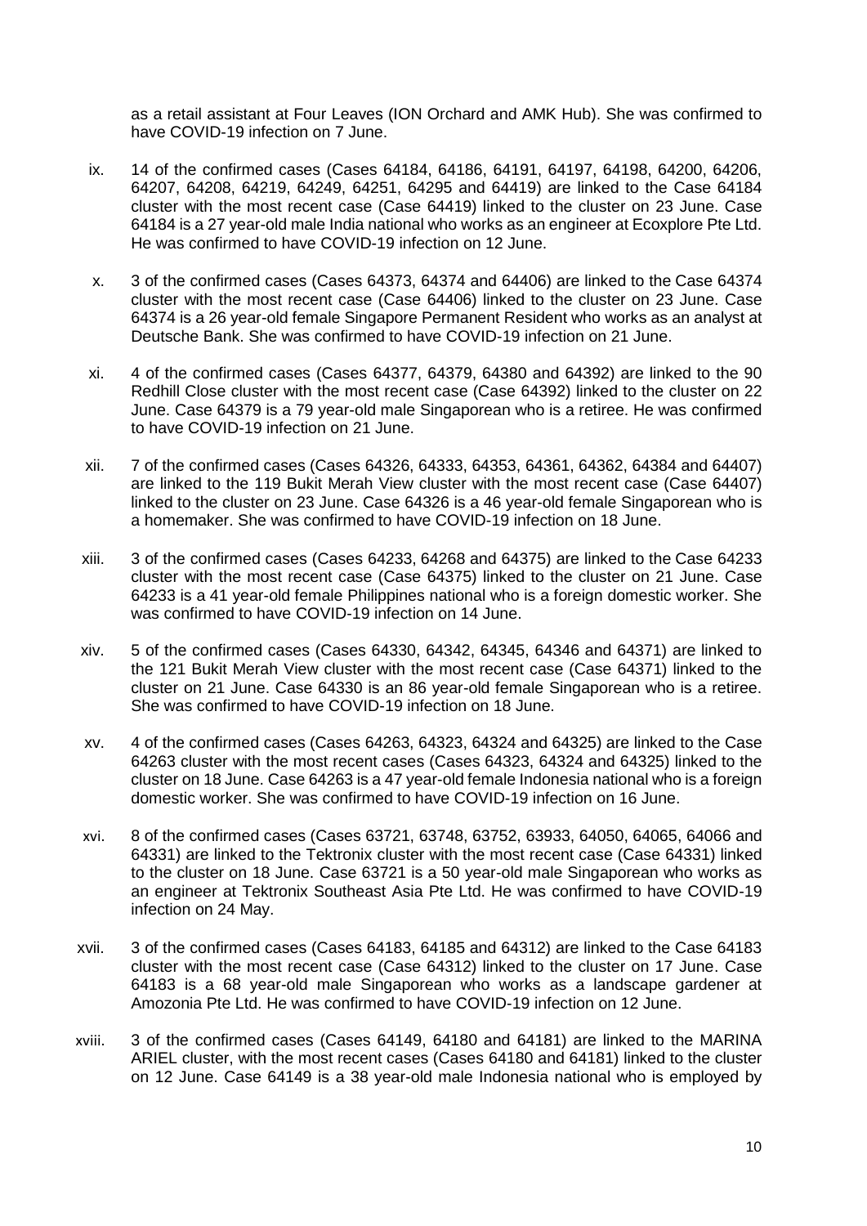as a retail assistant at Four Leaves (ION Orchard and AMK Hub). She was confirmed to have COVID-19 infection on 7 June.

- ix. 14 of the confirmed cases (Cases 64184, 64186, 64191, 64197, 64198, 64200, 64206, 64207, 64208, 64219, 64249, 64251, 64295 and 64419) are linked to the Case 64184 cluster with the most recent case (Case 64419) linked to the cluster on 23 June. Case 64184 is a 27 year-old male India national who works as an engineer at Ecoxplore Pte Ltd. He was confirmed to have COVID-19 infection on 12 June.
- x. 3 of the confirmed cases (Cases 64373, 64374 and 64406) are linked to the Case 64374 cluster with the most recent case (Case 64406) linked to the cluster on 23 June. Case 64374 is a 26 year-old female Singapore Permanent Resident who works as an analyst at Deutsche Bank. She was confirmed to have COVID-19 infection on 21 June.
- xi. 4 of the confirmed cases (Cases 64377, 64379, 64380 and 64392) are linked to the 90 Redhill Close cluster with the most recent case (Case 64392) linked to the cluster on 22 June. Case 64379 is a 79 year-old male Singaporean who is a retiree. He was confirmed to have COVID-19 infection on 21 June.
- xii. 7 of the confirmed cases (Cases 64326, 64333, 64353, 64361, 64362, 64384 and 64407) are linked to the 119 Bukit Merah View cluster with the most recent case (Case 64407) linked to the cluster on 23 June. Case 64326 is a 46 year-old female Singaporean who is a homemaker. She was confirmed to have COVID-19 infection on 18 June.
- xiii. 3 of the confirmed cases (Cases 64233, 64268 and 64375) are linked to the Case 64233 cluster with the most recent case (Case 64375) linked to the cluster on 21 June. Case 64233 is a 41 year-old female Philippines national who is a foreign domestic worker. She was confirmed to have COVID-19 infection on 14 June.
- xiv. 5 of the confirmed cases (Cases 64330, 64342, 64345, 64346 and 64371) are linked to the 121 Bukit Merah View cluster with the most recent case (Case 64371) linked to the cluster on 21 June. Case 64330 is an 86 year-old female Singaporean who is a retiree. She was confirmed to have COVID-19 infection on 18 June.
- xv. 4 of the confirmed cases (Cases 64263, 64323, 64324 and 64325) are linked to the Case 64263 cluster with the most recent cases (Cases 64323, 64324 and 64325) linked to the cluster on 18 June. Case 64263 is a 47 year-old female Indonesia national who is a foreign domestic worker. She was confirmed to have COVID-19 infection on 16 June.
- xvi. 8 of the confirmed cases (Cases 63721, 63748, 63752, 63933, 64050, 64065, 64066 and 64331) are linked to the Tektronix cluster with the most recent case (Case 64331) linked to the cluster on 18 June. Case 63721 is a 50 year-old male Singaporean who works as an engineer at Tektronix Southeast Asia Pte Ltd. He was confirmed to have COVID-19 infection on 24 May.
- xvii. 3 of the confirmed cases (Cases 64183, 64185 and 64312) are linked to the Case 64183 cluster with the most recent case (Case 64312) linked to the cluster on 17 June. Case 64183 is a 68 year-old male Singaporean who works as a landscape gardener at Amozonia Pte Ltd. He was confirmed to have COVID-19 infection on 12 June.
- xviii. 3 of the confirmed cases (Cases 64149, 64180 and 64181) are linked to the MARINA ARIEL cluster, with the most recent cases (Cases 64180 and 64181) linked to the cluster on 12 June. Case 64149 is a 38 year-old male Indonesia national who is employed by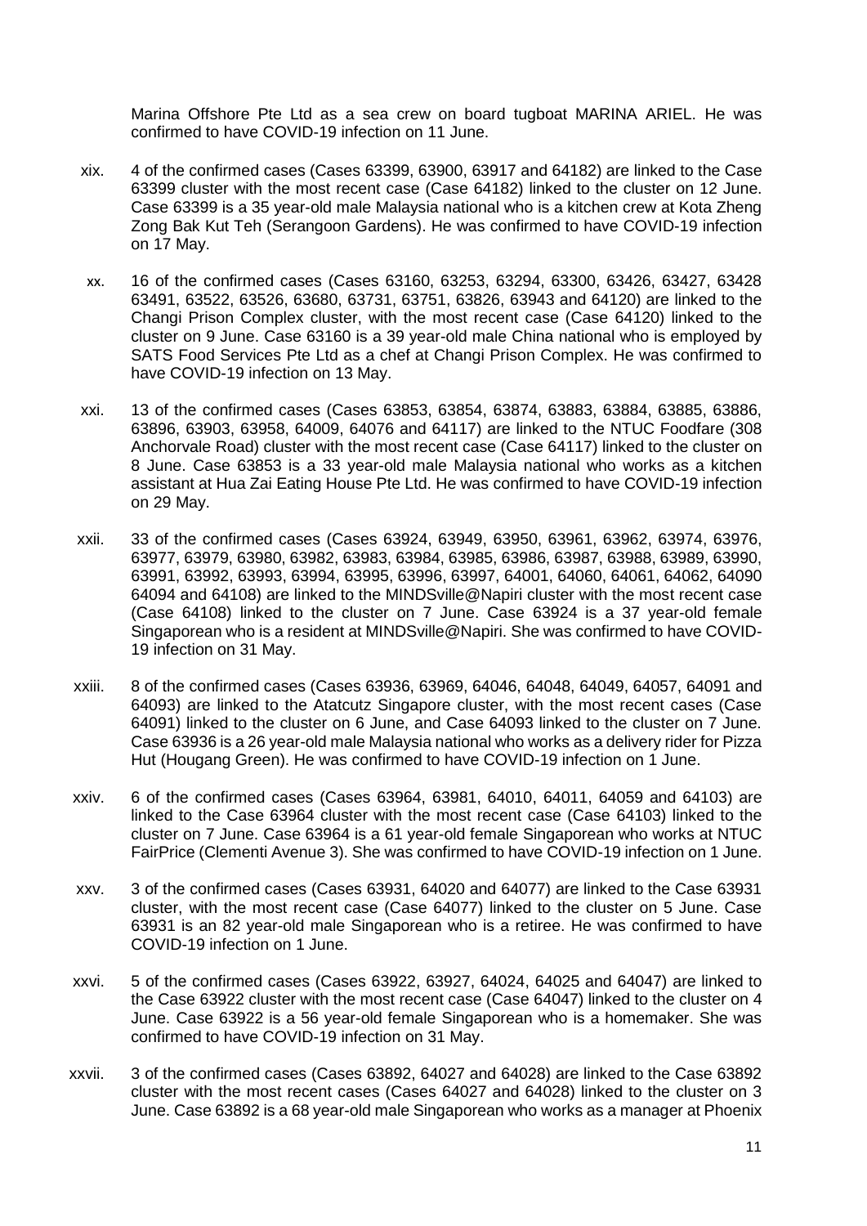Marina Offshore Pte Ltd as a sea crew on board tugboat MARINA ARIEL. He was confirmed to have COVID-19 infection on 11 June.

- xix. 4 of the confirmed cases (Cases 63399, 63900, 63917 and 64182) are linked to the Case 63399 cluster with the most recent case (Case 64182) linked to the cluster on 12 June. Case 63399 is a 35 year-old male Malaysia national who is a kitchen crew at Kota Zheng Zong Bak Kut Teh (Serangoon Gardens). He was confirmed to have COVID-19 infection on 17 May.
- xx. 16 of the confirmed cases (Cases 63160, 63253, 63294, 63300, 63426, 63427, 63428 63491, 63522, 63526, 63680, 63731, 63751, 63826, 63943 and 64120) are linked to the Changi Prison Complex cluster, with the most recent case (Case 64120) linked to the cluster on 9 June. Case 63160 is a 39 year-old male China national who is employed by SATS Food Services Pte Ltd as a chef at Changi Prison Complex. He was confirmed to have COVID-19 infection on 13 May.
- xxi. 13 of the confirmed cases (Cases 63853, 63854, 63874, 63883, 63884, 63885, 63886, 63896, 63903, 63958, 64009, 64076 and 64117) are linked to the NTUC Foodfare (308 Anchorvale Road) cluster with the most recent case (Case 64117) linked to the cluster on 8 June. Case 63853 is a 33 year-old male Malaysia national who works as a kitchen assistant at Hua Zai Eating House Pte Ltd. He was confirmed to have COVID-19 infection on 29 May.
- xxii. 33 of the confirmed cases (Cases 63924, 63949, 63950, 63961, 63962, 63974, 63976, 63977, 63979, 63980, 63982, 63983, 63984, 63985, 63986, 63987, 63988, 63989, 63990, 63991, 63992, 63993, 63994, 63995, 63996, 63997, 64001, 64060, 64061, 64062, 64090 64094 and 64108) are linked to the MINDSville@Napiri cluster with the most recent case (Case 64108) linked to the cluster on 7 June. Case 63924 is a 37 year-old female Singaporean who is a resident at MINDSville@Napiri. She was confirmed to have COVID-19 infection on 31 May.
- xxiii. 8 of the confirmed cases (Cases 63936, 63969, 64046, 64048, 64049, 64057, 64091 and 64093) are linked to the Atatcutz Singapore cluster, with the most recent cases (Case 64091) linked to the cluster on 6 June, and Case 64093 linked to the cluster on 7 June. Case 63936 is a 26 year-old male Malaysia national who works as a delivery rider for Pizza Hut (Hougang Green). He was confirmed to have COVID-19 infection on 1 June.
- xxiv. 6 of the confirmed cases (Cases 63964, 63981, 64010, 64011, 64059 and 64103) are linked to the Case 63964 cluster with the most recent case (Case 64103) linked to the cluster on 7 June. Case 63964 is a 61 year-old female Singaporean who works at NTUC FairPrice (Clementi Avenue 3). She was confirmed to have COVID-19 infection on 1 June.
- xxv. 3 of the confirmed cases (Cases 63931, 64020 and 64077) are linked to the Case 63931 cluster, with the most recent case (Case 64077) linked to the cluster on 5 June. Case 63931 is an 82 year-old male Singaporean who is a retiree. He was confirmed to have COVID-19 infection on 1 June.
- xxvi. 5 of the confirmed cases (Cases 63922, 63927, 64024, 64025 and 64047) are linked to the Case 63922 cluster with the most recent case (Case 64047) linked to the cluster on 4 June. Case 63922 is a 56 year-old female Singaporean who is a homemaker. She was confirmed to have COVID-19 infection on 31 May.
- xxvii. 3 of the confirmed cases (Cases 63892, 64027 and 64028) are linked to the Case 63892 cluster with the most recent cases (Cases 64027 and 64028) linked to the cluster on 3 June. Case 63892 is a 68 year-old male Singaporean who works as a manager at Phoenix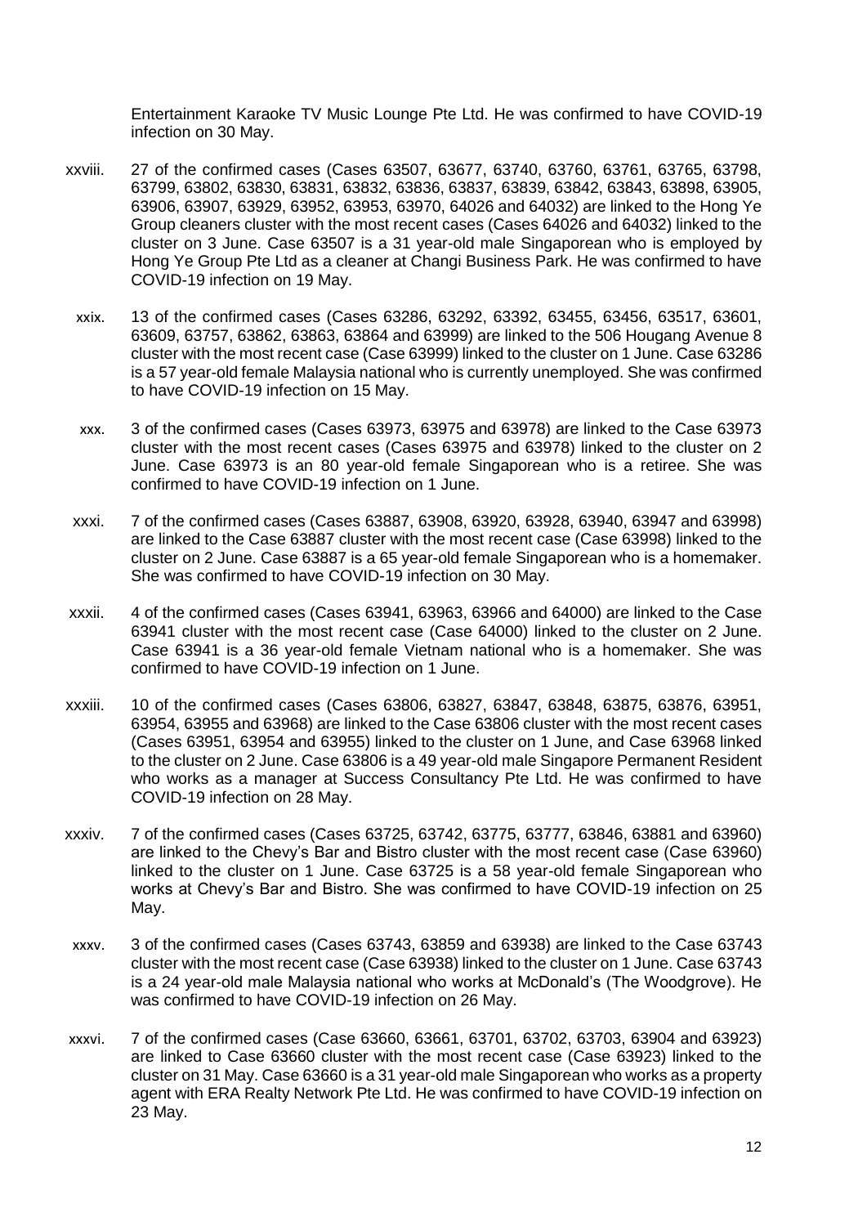Entertainment Karaoke TV Music Lounge Pte Ltd. He was confirmed to have COVID-19 infection on 30 May.

- xxviii. 27 of the confirmed cases (Cases 63507, 63677, 63740, 63760, 63761, 63765, 63798, 63799, 63802, 63830, 63831, 63832, 63836, 63837, 63839, 63842, 63843, 63898, 63905, 63906, 63907, 63929, 63952, 63953, 63970, 64026 and 64032) are linked to the Hong Ye Group cleaners cluster with the most recent cases (Cases 64026 and 64032) linked to the cluster on 3 June. Case 63507 is a 31 year-old male Singaporean who is employed by Hong Ye Group Pte Ltd as a cleaner at Changi Business Park. He was confirmed to have COVID-19 infection on 19 May.
	- xxix. 13 of the confirmed cases (Cases 63286, 63292, 63392, 63455, 63456, 63517, 63601, 63609, 63757, 63862, 63863, 63864 and 63999) are linked to the 506 Hougang Avenue 8 cluster with the most recent case (Case 63999) linked to the cluster on 1 June. Case 63286 is a 57 year-old female Malaysia national who is currently unemployed. She was confirmed to have COVID-19 infection on 15 May.
	- xxx. 3 of the confirmed cases (Cases 63973, 63975 and 63978) are linked to the Case 63973 cluster with the most recent cases (Cases 63975 and 63978) linked to the cluster on 2 June. Case 63973 is an 80 year-old female Singaporean who is a retiree. She was confirmed to have COVID-19 infection on 1 June.
- xxxi. 7 of the confirmed cases (Cases 63887, 63908, 63920, 63928, 63940, 63947 and 63998) are linked to the Case 63887 cluster with the most recent case (Case 63998) linked to the cluster on 2 June. Case 63887 is a 65 year-old female Singaporean who is a homemaker. She was confirmed to have COVID-19 infection on 30 May.
- xxxii. 4 of the confirmed cases (Cases 63941, 63963, 63966 and 64000) are linked to the Case 63941 cluster with the most recent case (Case 64000) linked to the cluster on 2 June. Case 63941 is a 36 year-old female Vietnam national who is a homemaker. She was confirmed to have COVID-19 infection on 1 June.
- xxxiii. 10 of the confirmed cases (Cases 63806, 63827, 63847, 63848, 63875, 63876, 63951, 63954, 63955 and 63968) are linked to the Case 63806 cluster with the most recent cases (Cases 63951, 63954 and 63955) linked to the cluster on 1 June, and Case 63968 linked to the cluster on 2 June. Case 63806 is a 49 year-old male Singapore Permanent Resident who works as a manager at Success Consultancy Pte Ltd. He was confirmed to have COVID-19 infection on 28 May.
- xxxiv. 7 of the confirmed cases (Cases 63725, 63742, 63775, 63777, 63846, 63881 and 63960) are linked to the Chevy's Bar and Bistro cluster with the most recent case (Case 63960) linked to the cluster on 1 June. Case 63725 is a 58 year-old female Singaporean who works at Chevy's Bar and Bistro. She was confirmed to have COVID-19 infection on 25 May.
- xxxv. 3 of the confirmed cases (Cases 63743, 63859 and 63938) are linked to the Case 63743 cluster with the most recent case (Case 63938) linked to the cluster on 1 June. Case 63743 is a 24 year-old male Malaysia national who works at McDonald's (The Woodgrove). He was confirmed to have COVID-19 infection on 26 May.
- xxxvi. 7 of the confirmed cases (Case 63660, 63661, 63701, 63702, 63703, 63904 and 63923) are linked to Case 63660 cluster with the most recent case (Case 63923) linked to the cluster on 31 May. Case 63660 is a 31 year-old male Singaporean who works as a property agent with ERA Realty Network Pte Ltd. He was confirmed to have COVID-19 infection on 23 May.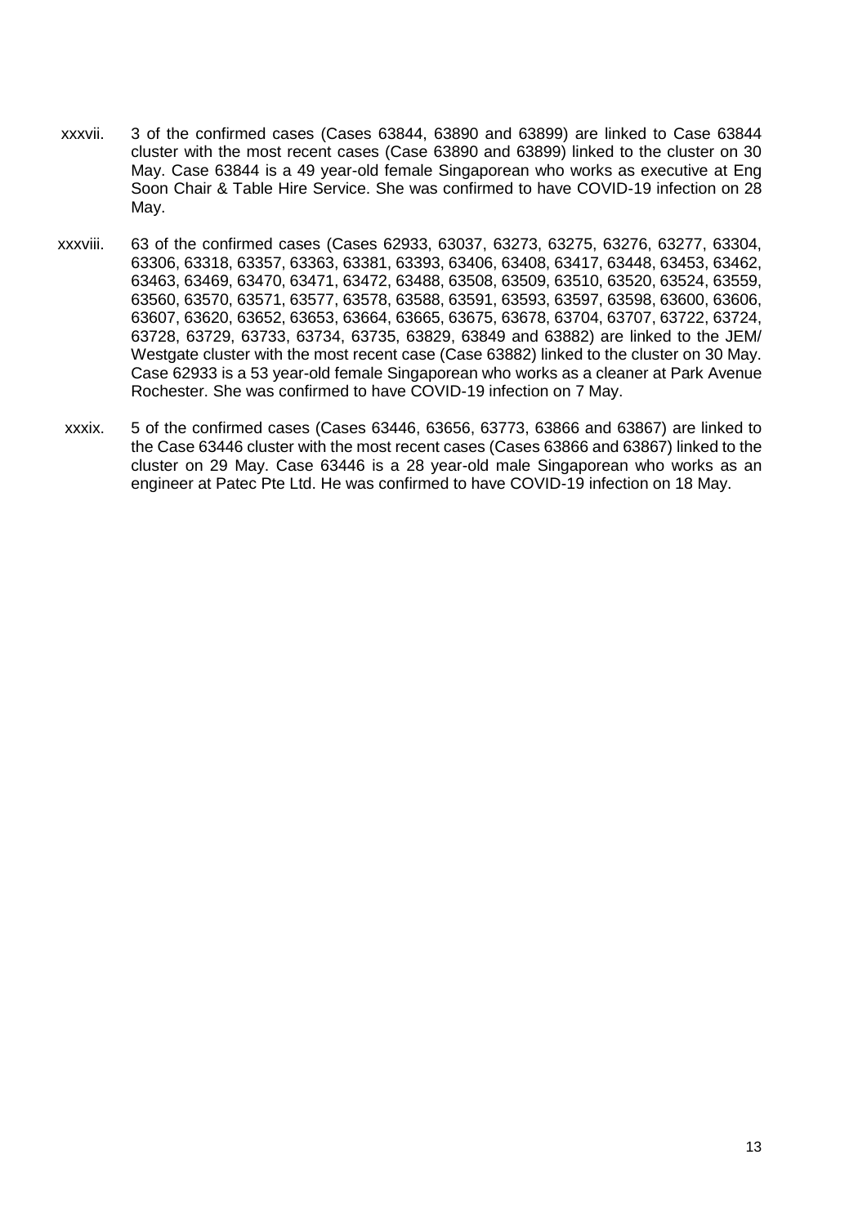- xxxvii. 3 of the confirmed cases (Cases 63844, 63890 and 63899) are linked to Case 63844 cluster with the most recent cases (Case 63890 and 63899) linked to the cluster on 30 May. Case 63844 is a 49 year-old female Singaporean who works as executive at Eng Soon Chair & Table Hire Service. She was confirmed to have COVID-19 infection on 28 May.
- xxxviii. 63 of the confirmed cases (Cases 62933, 63037, 63273, 63275, 63276, 63277, 63304, 63306, 63318, 63357, 63363, 63381, 63393, 63406, 63408, 63417, 63448, 63453, 63462, 63463, 63469, 63470, 63471, 63472, 63488, 63508, 63509, 63510, 63520, 63524, 63559, 63560, 63570, 63571, 63577, 63578, 63588, 63591, 63593, 63597, 63598, 63600, 63606, 63607, 63620, 63652, 63653, 63664, 63665, 63675, 63678, 63704, 63707, 63722, 63724, 63728, 63729, 63733, 63734, 63735, 63829, 63849 and 63882) are linked to the JEM/ Westgate cluster with the most recent case (Case 63882) linked to the cluster on 30 May. Case 62933 is a 53 year-old female Singaporean who works as a cleaner at Park Avenue Rochester. She was confirmed to have COVID-19 infection on 7 May.
- xxxix. 5 of the confirmed cases (Cases 63446, 63656, 63773, 63866 and 63867) are linked to the Case 63446 cluster with the most recent cases (Cases 63866 and 63867) linked to the cluster on 29 May. Case 63446 is a 28 year-old male Singaporean who works as an engineer at Patec Pte Ltd. He was confirmed to have COVID-19 infection on 18 May.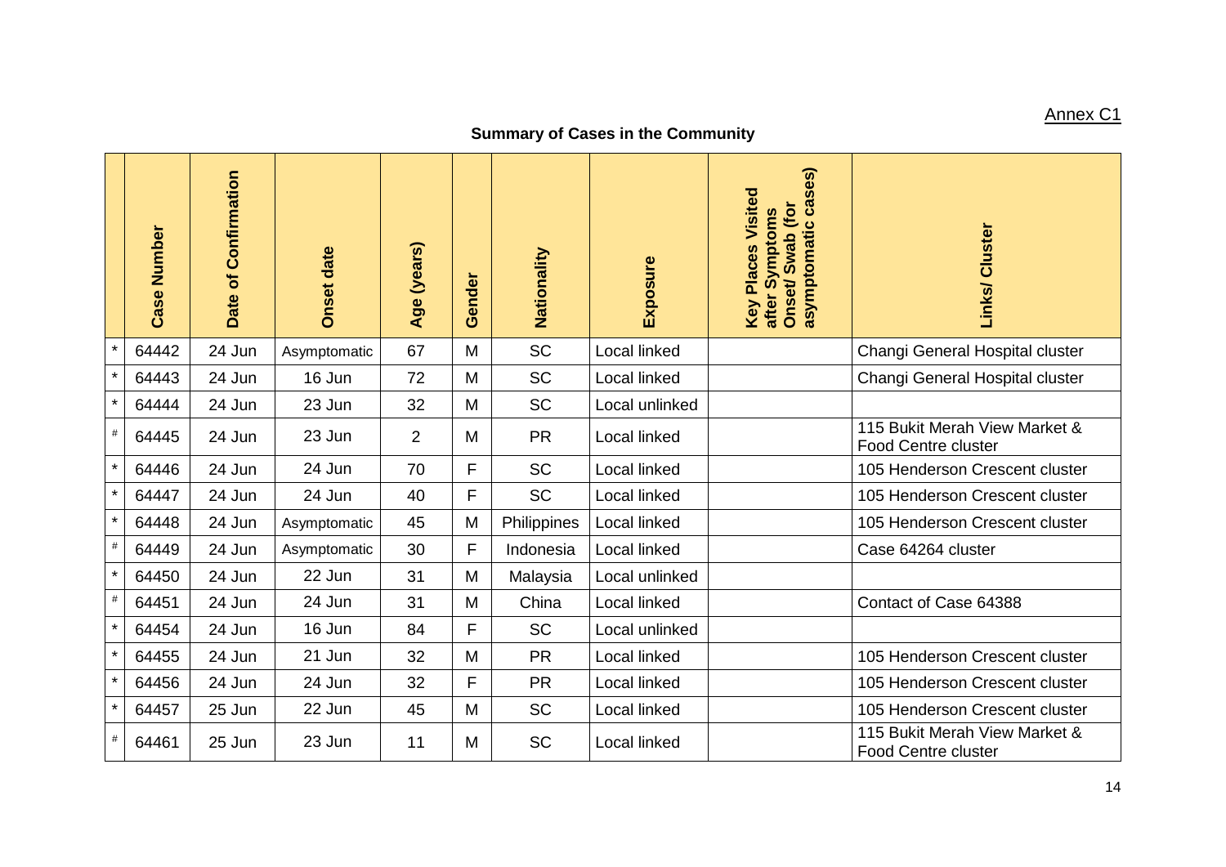# Annex C1

# **Summary of Cases in the Community**

|         | Case Number | Date of Confirmation | <b>Onset date</b> | Age (years)    | Gender | Nationality | Exposure            | cases)<br>Key Places Visited<br>Onset/Swab (for<br>after Symptoms<br>asymptomatic | Links/ Cluster                                              |
|---------|-------------|----------------------|-------------------|----------------|--------|-------------|---------------------|-----------------------------------------------------------------------------------|-------------------------------------------------------------|
| $\star$ | 64442       | 24 Jun               | Asymptomatic      | 67             | M      | <b>SC</b>   | Local linked        |                                                                                   | Changi General Hospital cluster                             |
| $\star$ | 64443       | 24 Jun               | 16 Jun            | 72             | M      | <b>SC</b>   | Local linked        |                                                                                   | Changi General Hospital cluster                             |
| $\star$ | 64444       | 24 Jun               | 23 Jun            | 32             | M      | <b>SC</b>   | Local unlinked      |                                                                                   |                                                             |
| $\#$    | 64445       | 24 Jun               | 23 Jun            | $\overline{2}$ | M      | <b>PR</b>   | Local linked        |                                                                                   | 115 Bukit Merah View Market &<br><b>Food Centre cluster</b> |
| $\star$ | 64446       | 24 Jun               | 24 Jun            | 70             | F      | <b>SC</b>   | <b>Local linked</b> |                                                                                   | 105 Henderson Crescent cluster                              |
| $\star$ | 64447       | 24 Jun               | 24 Jun            | 40             | F      | <b>SC</b>   | Local linked        |                                                                                   | 105 Henderson Crescent cluster                              |
| $\star$ | 64448       | 24 Jun               | Asymptomatic      | 45             | M      | Philippines | Local linked        |                                                                                   | 105 Henderson Crescent cluster                              |
| $\#$    | 64449       | 24 Jun               | Asymptomatic      | 30             | F      | Indonesia   | Local linked        |                                                                                   | Case 64264 cluster                                          |
| $\star$ | 64450       | 24 Jun               | 22 Jun            | 31             | M      | Malaysia    | Local unlinked      |                                                                                   |                                                             |
| $\#$    | 64451       | 24 Jun               | 24 Jun            | 31             | M      | China       | Local linked        |                                                                                   | Contact of Case 64388                                       |
| $\star$ | 64454       | 24 Jun               | 16 Jun            | 84             | F      | <b>SC</b>   | Local unlinked      |                                                                                   |                                                             |
| $\star$ | 64455       | 24 Jun               | 21 Jun            | 32             | M      | <b>PR</b>   | Local linked        |                                                                                   | 105 Henderson Crescent cluster                              |
| $\star$ | 64456       | 24 Jun               | 24 Jun            | 32             | F      | <b>PR</b>   | Local linked        |                                                                                   | 105 Henderson Crescent cluster                              |
| $\star$ | 64457       | 25 Jun               | 22 Jun            | 45             | M      | <b>SC</b>   | Local linked        |                                                                                   | 105 Henderson Crescent cluster                              |
| $\#$    | 64461       | 25 Jun               | 23 Jun            | 11             | M      | <b>SC</b>   | Local linked        |                                                                                   | 115 Bukit Merah View Market &<br><b>Food Centre cluster</b> |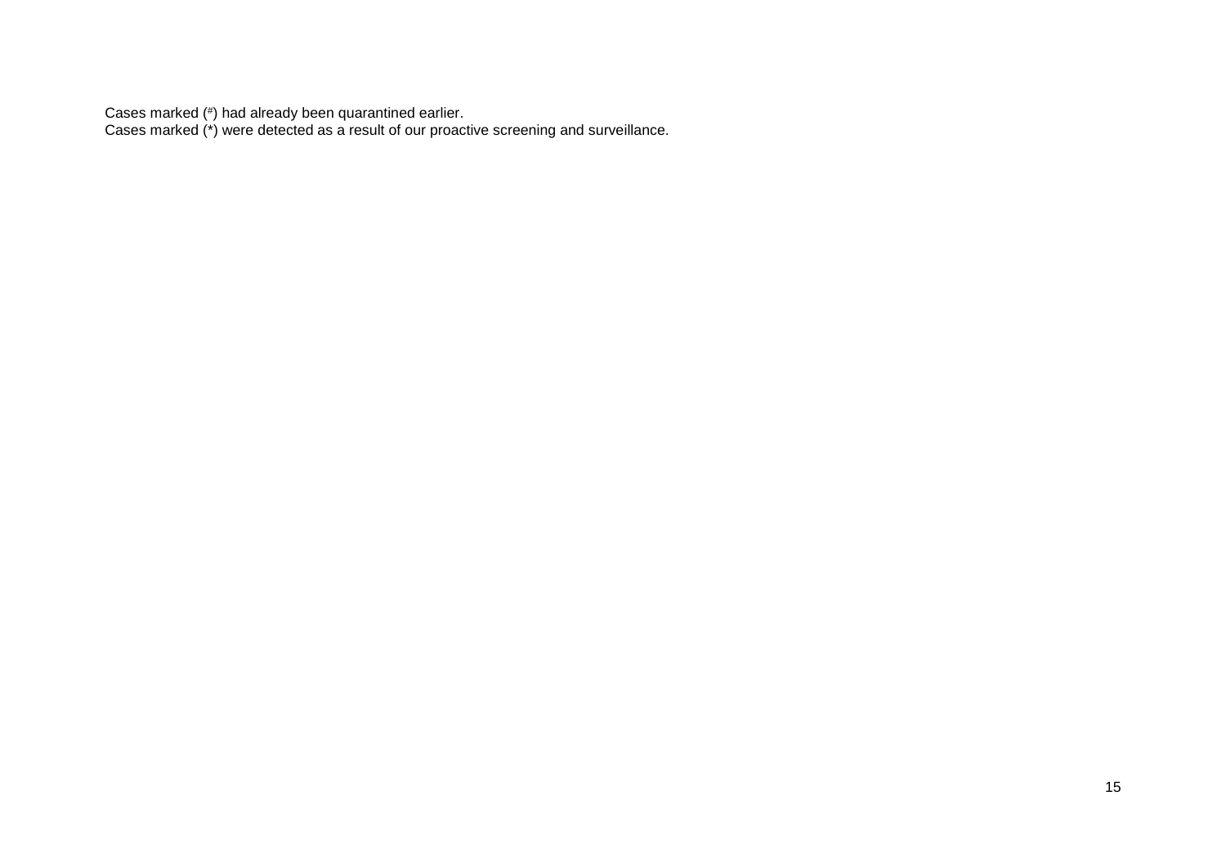Cases marked (# ) had already been quarantined earlier.

Cases marked (\*) were detected as a result of our proactive screening and surveillance.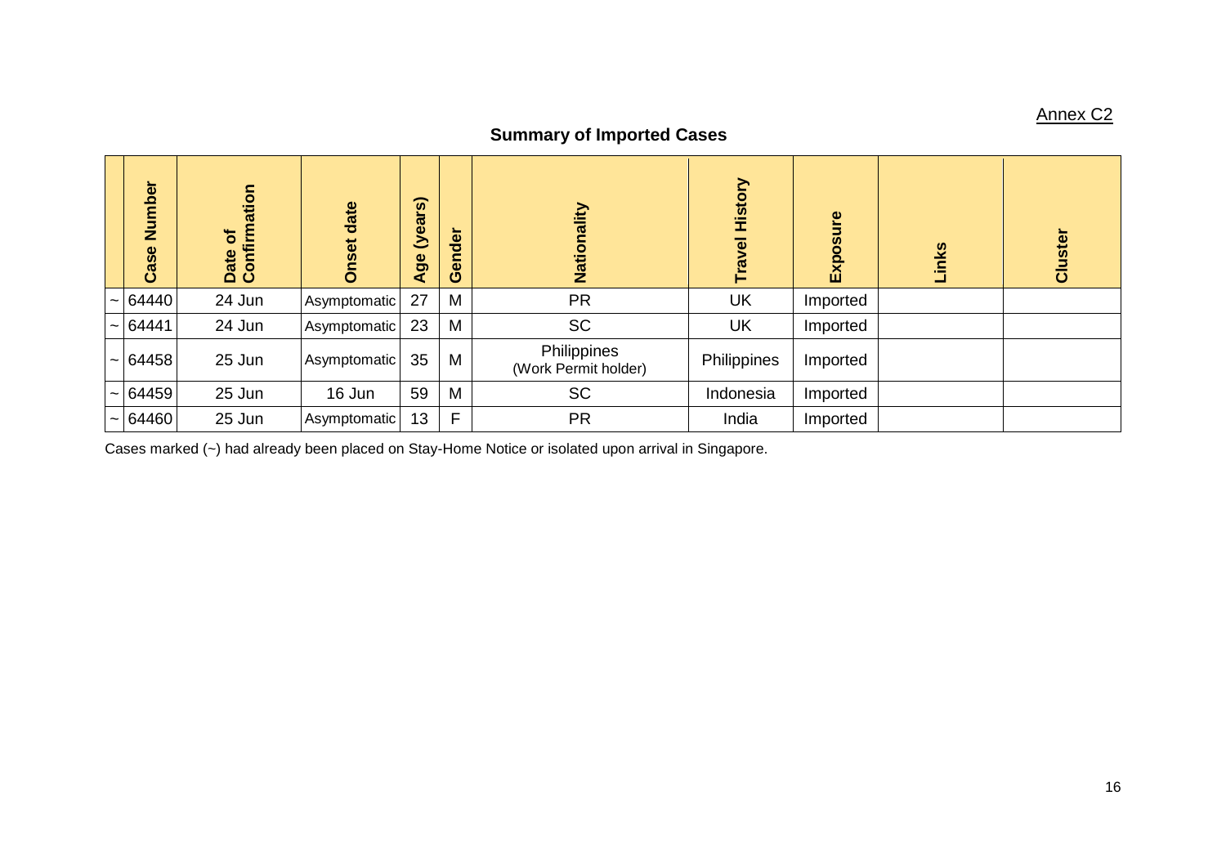# Annex C2

# **Summary of Imported Cases**

| Number<br>Case | Date of<br>Confirmation | date<br>Onset | $\widehat{\omega}$<br><u>s –</u><br>(yea<br>Age | Gender | Nationality                         | History<br>Travel | Exposure | Links | Cluster |
|----------------|-------------------------|---------------|-------------------------------------------------|--------|-------------------------------------|-------------------|----------|-------|---------|
| $\sim$ 64440   | 24 Jun                  | Asymptomatic  | 27                                              | M      | <b>PR</b>                           | <b>UK</b>         | Imported |       |         |
| $\sim$ 64441   | 24 Jun                  | Asymptomatic  | 23                                              | M      | <b>SC</b>                           | <b>UK</b>         | Imported |       |         |
| $\sim$ 64458   | 25 Jun                  | Asymptomatic  | 35                                              | M      | Philippines<br>(Work Permit holder) | Philippines       | Imported |       |         |
| $\sim$ 64459   | 25 Jun                  | 16 Jun        | 59                                              | M      | <b>SC</b>                           | Indonesia         | Imported |       |         |
| $\sim$ 64460   | 25 Jun                  | Asymptomatic  | 13                                              | F      | <b>PR</b>                           | India             | Imported |       |         |

Cases marked (~) had already been placed on Stay-Home Notice or isolated upon arrival in Singapore.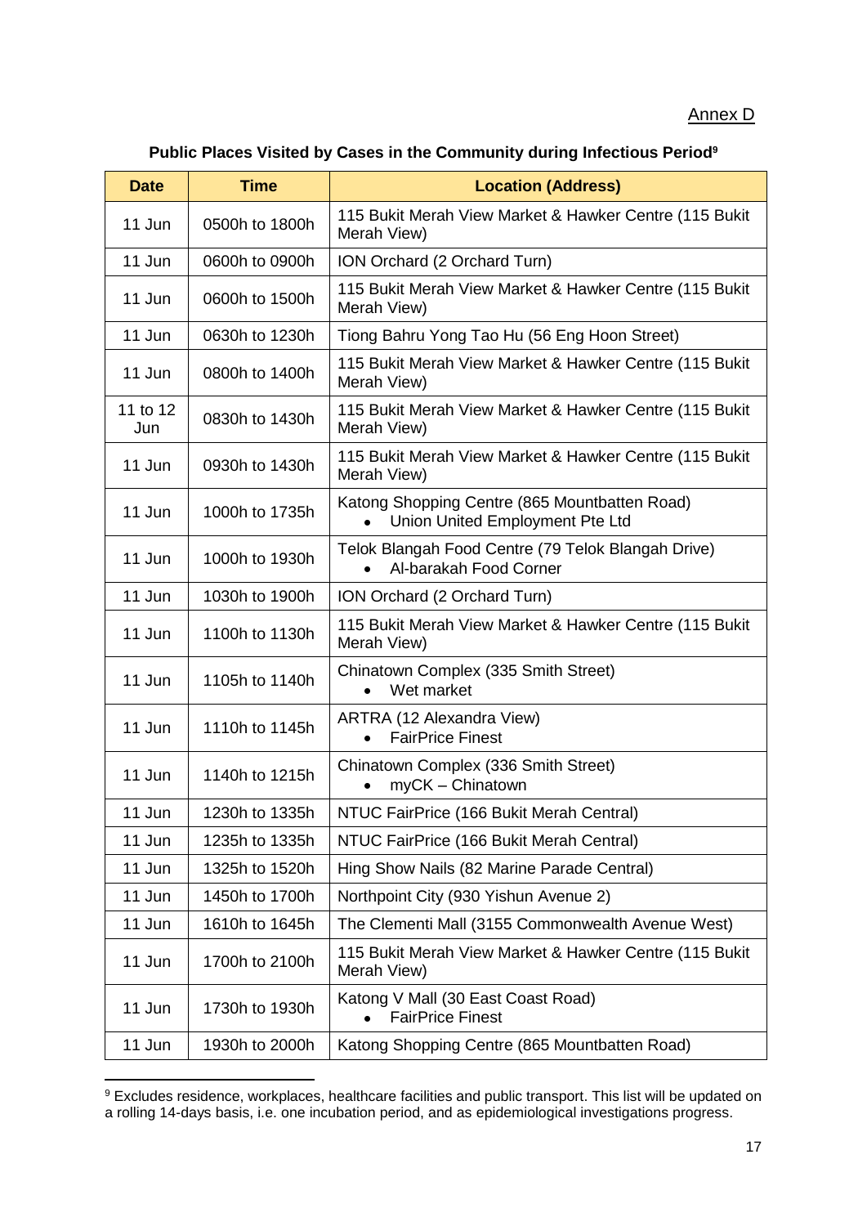#### Annex D

#### **Public Places Visited by Cases in the Community during Infectious Period<sup>9</sup>**

| <b>Date</b>     | <b>Time</b>    | <b>Location (Address)</b>                                                                     |
|-----------------|----------------|-----------------------------------------------------------------------------------------------|
| 11 Jun          | 0500h to 1800h | 115 Bukit Merah View Market & Hawker Centre (115 Bukit<br>Merah View)                         |
| 11 Jun          | 0600h to 0900h | ION Orchard (2 Orchard Turn)                                                                  |
| 11 Jun          | 0600h to 1500h | 115 Bukit Merah View Market & Hawker Centre (115 Bukit<br>Merah View)                         |
| 11 Jun          | 0630h to 1230h | Tiong Bahru Yong Tao Hu (56 Eng Hoon Street)                                                  |
| 11 Jun          | 0800h to 1400h | 115 Bukit Merah View Market & Hawker Centre (115 Bukit<br>Merah View)                         |
| 11 to 12<br>Jun | 0830h to 1430h | 115 Bukit Merah View Market & Hawker Centre (115 Bukit<br>Merah View)                         |
| 11 Jun          | 0930h to 1430h | 115 Bukit Merah View Market & Hawker Centre (115 Bukit<br>Merah View)                         |
| 11 Jun          | 1000h to 1735h | Katong Shopping Centre (865 Mountbatten Road)<br>Union United Employment Pte Ltd<br>$\bullet$ |
| 11 Jun          | 1000h to 1930h | Telok Blangah Food Centre (79 Telok Blangah Drive)<br>Al-barakah Food Corner                  |
| 11 Jun          | 1030h to 1900h | ION Orchard (2 Orchard Turn)                                                                  |
| 11 Jun          | 1100h to 1130h | 115 Bukit Merah View Market & Hawker Centre (115 Bukit<br>Merah View)                         |
| 11 Jun          | 1105h to 1140h | Chinatown Complex (335 Smith Street)<br>Wet market<br>$\bullet$                               |
| 11 Jun          | 1110h to 1145h | ARTRA (12 Alexandra View)<br><b>FairPrice Finest</b>                                          |
| 11 Jun          | 1140h to 1215h | Chinatown Complex (336 Smith Street)<br>myCK - Chinatown                                      |
| 11 Jun          | 1230h to 1335h | NTUC FairPrice (166 Bukit Merah Central)                                                      |
| 11 Jun          | 1235h to 1335h | NTUC FairPrice (166 Bukit Merah Central)                                                      |
| 11 Jun          | 1325h to 1520h | Hing Show Nails (82 Marine Parade Central)                                                    |
| 11 Jun          | 1450h to 1700h | Northpoint City (930 Yishun Avenue 2)                                                         |
| 11 Jun          | 1610h to 1645h | The Clementi Mall (3155 Commonwealth Avenue West)                                             |
| 11 Jun          | 1700h to 2100h | 115 Bukit Merah View Market & Hawker Centre (115 Bukit<br>Merah View)                         |
| 11 Jun          | 1730h to 1930h | Katong V Mall (30 East Coast Road)<br><b>FairPrice Finest</b>                                 |
| 11 Jun          | 1930h to 2000h | Katong Shopping Centre (865 Mountbatten Road)                                                 |

 $9$  Excludes residence, workplaces, healthcare facilities and public transport. This list will be updated on a rolling 14-days basis, i.e. one incubation period, and as epidemiological investigations progress.

**.**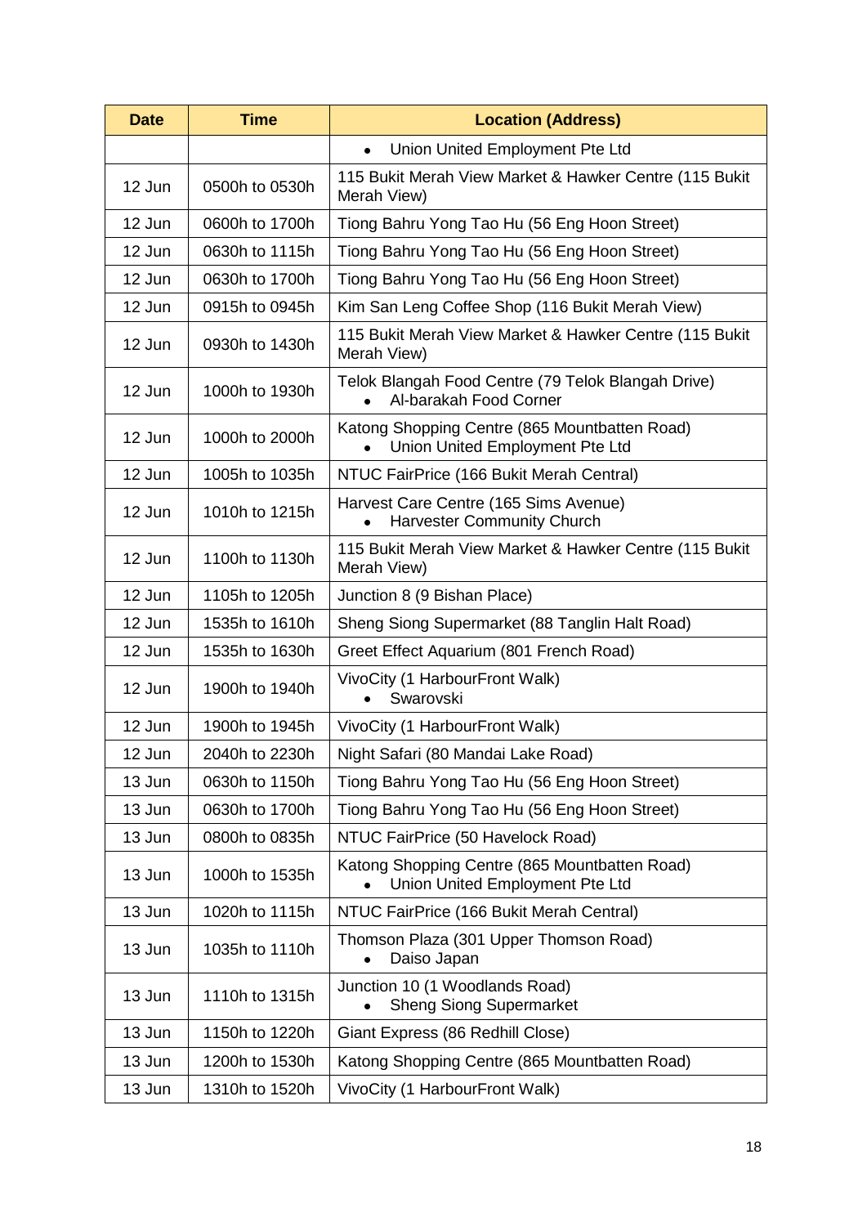| <b>Date</b> | <b>Time</b>    | <b>Location (Address)</b>                                                                     |  |  |
|-------------|----------------|-----------------------------------------------------------------------------------------------|--|--|
|             |                | Union United Employment Pte Ltd<br>$\bullet$                                                  |  |  |
| 12 Jun      | 0500h to 0530h | 115 Bukit Merah View Market & Hawker Centre (115 Bukit<br>Merah View)                         |  |  |
| 12 Jun      | 0600h to 1700h | Tiong Bahru Yong Tao Hu (56 Eng Hoon Street)                                                  |  |  |
| 12 Jun      | 0630h to 1115h | Tiong Bahru Yong Tao Hu (56 Eng Hoon Street)                                                  |  |  |
| 12 Jun      | 0630h to 1700h | Tiong Bahru Yong Tao Hu (56 Eng Hoon Street)                                                  |  |  |
| 12 Jun      | 0915h to 0945h | Kim San Leng Coffee Shop (116 Bukit Merah View)                                               |  |  |
| 12 Jun      | 0930h to 1430h | 115 Bukit Merah View Market & Hawker Centre (115 Bukit<br>Merah View)                         |  |  |
| 12 Jun      | 1000h to 1930h | Telok Blangah Food Centre (79 Telok Blangah Drive)<br>Al-barakah Food Corner                  |  |  |
| 12 Jun      | 1000h to 2000h | Katong Shopping Centre (865 Mountbatten Road)<br>Union United Employment Pte Ltd              |  |  |
| 12 Jun      | 1005h to 1035h | NTUC FairPrice (166 Bukit Merah Central)                                                      |  |  |
| 12 Jun      | 1010h to 1215h | Harvest Care Centre (165 Sims Avenue)<br><b>Harvester Community Church</b>                    |  |  |
| 12 Jun      | 1100h to 1130h | 115 Bukit Merah View Market & Hawker Centre (115 Bukit<br>Merah View)                         |  |  |
| 12 Jun      | 1105h to 1205h | Junction 8 (9 Bishan Place)                                                                   |  |  |
| 12 Jun      | 1535h to 1610h | Sheng Siong Supermarket (88 Tanglin Halt Road)                                                |  |  |
| 12 Jun      | 1535h to 1630h | Greet Effect Aquarium (801 French Road)                                                       |  |  |
| 12 Jun      | 1900h to 1940h | VivoCity (1 HarbourFront Walk)<br>Swarovski                                                   |  |  |
| 12 Jun      | 1900h to 1945h | VivoCity (1 HarbourFront Walk)                                                                |  |  |
| 12 Jun      | 2040h to 2230h | Night Safari (80 Mandai Lake Road)                                                            |  |  |
| 13 Jun      | 0630h to 1150h | Tiong Bahru Yong Tao Hu (56 Eng Hoon Street)                                                  |  |  |
| 13 Jun      | 0630h to 1700h | Tiong Bahru Yong Tao Hu (56 Eng Hoon Street)                                                  |  |  |
| 13 Jun      | 0800h to 0835h | NTUC FairPrice (50 Havelock Road)                                                             |  |  |
| 13 Jun      | 1000h to 1535h | Katong Shopping Centre (865 Mountbatten Road)<br>Union United Employment Pte Ltd<br>$\bullet$ |  |  |
| 13 Jun      | 1020h to 1115h | NTUC FairPrice (166 Bukit Merah Central)                                                      |  |  |
| 13 Jun      | 1035h to 1110h | Thomson Plaza (301 Upper Thomson Road)<br>Daiso Japan                                         |  |  |
| 13 Jun      | 1110h to 1315h | Junction 10 (1 Woodlands Road)<br><b>Sheng Siong Supermarket</b>                              |  |  |
| 13 Jun      | 1150h to 1220h | Giant Express (86 Redhill Close)                                                              |  |  |
| 13 Jun      | 1200h to 1530h | Katong Shopping Centre (865 Mountbatten Road)                                                 |  |  |
| 13 Jun      | 1310h to 1520h | VivoCity (1 HarbourFront Walk)                                                                |  |  |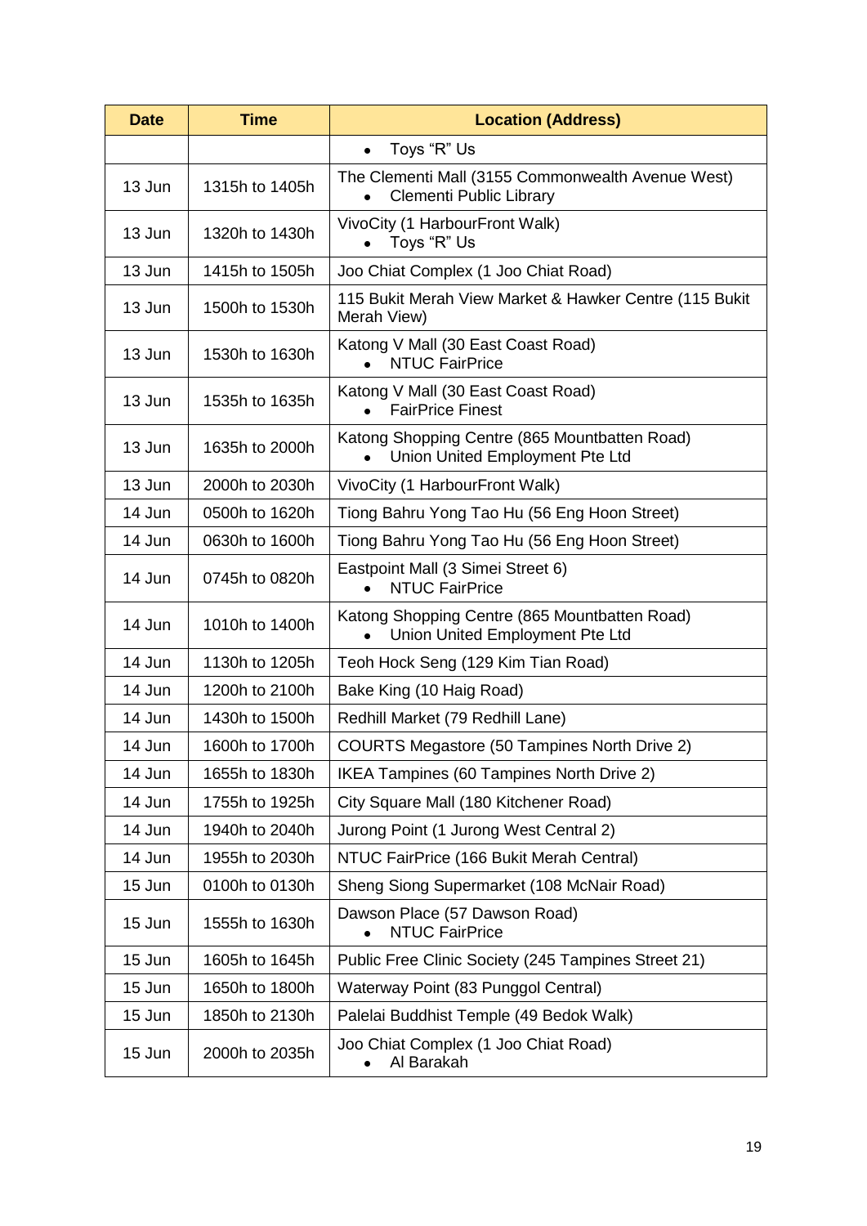| <b>Time</b><br><b>Date</b> |                | <b>Location (Address)</b>                                                           |  |  |  |
|----------------------------|----------------|-------------------------------------------------------------------------------------|--|--|--|
|                            |                | Toys "R" Us<br>$\bullet$                                                            |  |  |  |
| 13 Jun                     | 1315h to 1405h | The Clementi Mall (3155 Commonwealth Avenue West)<br><b>Clementi Public Library</b> |  |  |  |
| 13 Jun                     | 1320h to 1430h | VivoCity (1 HarbourFront Walk)<br>Toys "R" Us                                       |  |  |  |
| 13 Jun                     | 1415h to 1505h | Joo Chiat Complex (1 Joo Chiat Road)                                                |  |  |  |
| 13 Jun                     | 1500h to 1530h | 115 Bukit Merah View Market & Hawker Centre (115 Bukit<br>Merah View)               |  |  |  |
| 13 Jun                     | 1530h to 1630h | Katong V Mall (30 East Coast Road)<br><b>NTUC FairPrice</b>                         |  |  |  |
| 13 Jun                     | 1535h to 1635h | Katong V Mall (30 East Coast Road)<br><b>FairPrice Finest</b>                       |  |  |  |
| 13 Jun                     | 1635h to 2000h | Katong Shopping Centre (865 Mountbatten Road)<br>Union United Employment Pte Ltd    |  |  |  |
| 13 Jun                     | 2000h to 2030h | VivoCity (1 HarbourFront Walk)                                                      |  |  |  |
| 14 Jun                     | 0500h to 1620h | Tiong Bahru Yong Tao Hu (56 Eng Hoon Street)                                        |  |  |  |
| 14 Jun                     | 0630h to 1600h | Tiong Bahru Yong Tao Hu (56 Eng Hoon Street)                                        |  |  |  |
| 14 Jun                     | 0745h to 0820h | Eastpoint Mall (3 Simei Street 6)<br><b>NTUC FairPrice</b><br>$\bullet$             |  |  |  |
| 14 Jun                     | 1010h to 1400h | Katong Shopping Centre (865 Mountbatten Road)<br>Union United Employment Pte Ltd    |  |  |  |
| 14 Jun                     | 1130h to 1205h | Teoh Hock Seng (129 Kim Tian Road)                                                  |  |  |  |
| 14 Jun                     | 1200h to 2100h | Bake King (10 Haig Road)                                                            |  |  |  |
| 14 Jun                     | 1430h to 1500h | Redhill Market (79 Redhill Lane)                                                    |  |  |  |
| 14 Jun                     | 1600h to 1700h | <b>COURTS Megastore (50 Tampines North Drive 2)</b>                                 |  |  |  |
| 14 Jun                     | 1655h to 1830h | IKEA Tampines (60 Tampines North Drive 2)                                           |  |  |  |
| 14 Jun                     | 1755h to 1925h | City Square Mall (180 Kitchener Road)                                               |  |  |  |
| 14 Jun                     | 1940h to 2040h | Jurong Point (1 Jurong West Central 2)                                              |  |  |  |
| 14 Jun                     | 1955h to 2030h | NTUC FairPrice (166 Bukit Merah Central)                                            |  |  |  |
| 15 Jun                     | 0100h to 0130h | Sheng Siong Supermarket (108 McNair Road)                                           |  |  |  |
| 15 Jun                     | 1555h to 1630h | Dawson Place (57 Dawson Road)<br><b>NTUC FairPrice</b>                              |  |  |  |
| 15 Jun                     | 1605h to 1645h | Public Free Clinic Society (245 Tampines Street 21)                                 |  |  |  |
| 15 Jun                     | 1650h to 1800h | Waterway Point (83 Punggol Central)                                                 |  |  |  |
| 15 Jun                     | 1850h to 2130h | Palelai Buddhist Temple (49 Bedok Walk)                                             |  |  |  |
| 15 Jun                     | 2000h to 2035h | Joo Chiat Complex (1 Joo Chiat Road)<br>Al Barakah                                  |  |  |  |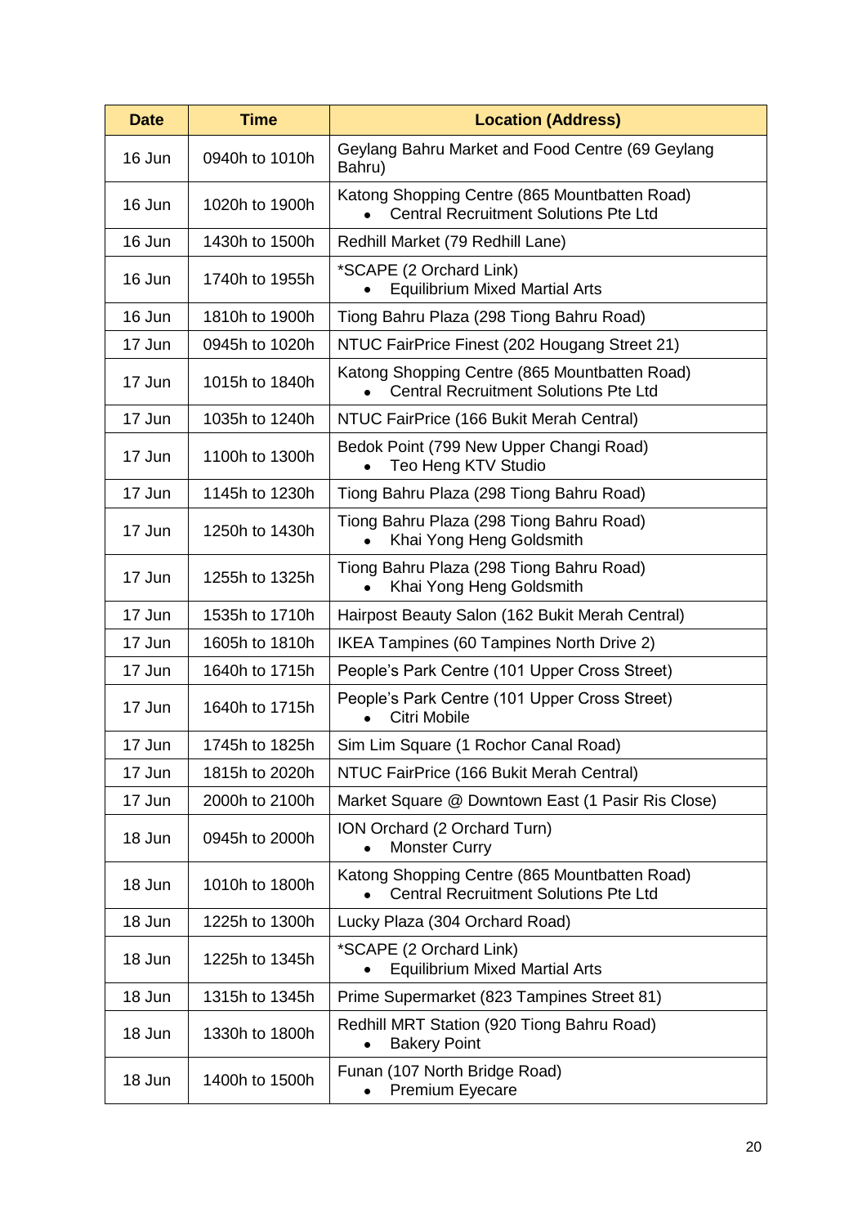| <b>Date</b> | <b>Time</b>    | <b>Location (Address)</b>                                                                     |
|-------------|----------------|-----------------------------------------------------------------------------------------------|
| 16 Jun      | 0940h to 1010h | Geylang Bahru Market and Food Centre (69 Geylang<br>Bahru)                                    |
| 16 Jun      | 1020h to 1900h | Katong Shopping Centre (865 Mountbatten Road)<br><b>Central Recruitment Solutions Pte Ltd</b> |
| 16 Jun      | 1430h to 1500h | Redhill Market (79 Redhill Lane)                                                              |
| 16 Jun      | 1740h to 1955h | *SCAPE (2 Orchard Link)<br><b>Equilibrium Mixed Martial Arts</b>                              |
| 16 Jun      | 1810h to 1900h | Tiong Bahru Plaza (298 Tiong Bahru Road)                                                      |
| 17 Jun      | 0945h to 1020h | NTUC FairPrice Finest (202 Hougang Street 21)                                                 |
| 17 Jun      | 1015h to 1840h | Katong Shopping Centre (865 Mountbatten Road)<br><b>Central Recruitment Solutions Pte Ltd</b> |
| 17 Jun      | 1035h to 1240h | NTUC FairPrice (166 Bukit Merah Central)                                                      |
| 17 Jun      | 1100h to 1300h | Bedok Point (799 New Upper Changi Road)<br>Teo Heng KTV Studio                                |
| 17 Jun      | 1145h to 1230h | Tiong Bahru Plaza (298 Tiong Bahru Road)                                                      |
| 17 Jun      | 1250h to 1430h | Tiong Bahru Plaza (298 Tiong Bahru Road)<br>Khai Yong Heng Goldsmith                          |
| 17 Jun      | 1255h to 1325h | Tiong Bahru Plaza (298 Tiong Bahru Road)<br>Khai Yong Heng Goldsmith<br>$\bullet$             |
| 17 Jun      | 1535h to 1710h | Hairpost Beauty Salon (162 Bukit Merah Central)                                               |
| 17 Jun      | 1605h to 1810h | IKEA Tampines (60 Tampines North Drive 2)                                                     |
| 17 Jun      | 1640h to 1715h | People's Park Centre (101 Upper Cross Street)                                                 |
| 17 Jun      | 1640h to 1715h | People's Park Centre (101 Upper Cross Street)<br>Citri Mobile                                 |
| 17 Jun      | 1745h to 1825h | Sim Lim Square (1 Rochor Canal Road)                                                          |
| 17 Jun      | 1815h to 2020h | NTUC FairPrice (166 Bukit Merah Central)                                                      |
| 17 Jun      | 2000h to 2100h | Market Square @ Downtown East (1 Pasir Ris Close)                                             |
| 18 Jun      | 0945h to 2000h | ION Orchard (2 Orchard Turn)<br><b>Monster Curry</b>                                          |
| 18 Jun      | 1010h to 1800h | Katong Shopping Centre (865 Mountbatten Road)<br><b>Central Recruitment Solutions Pte Ltd</b> |
| 18 Jun      | 1225h to 1300h | Lucky Plaza (304 Orchard Road)                                                                |
| 18 Jun      | 1225h to 1345h | *SCAPE (2 Orchard Link)<br><b>Equilibrium Mixed Martial Arts</b>                              |
| 18 Jun      | 1315h to 1345h | Prime Supermarket (823 Tampines Street 81)                                                    |
| 18 Jun      | 1330h to 1800h | Redhill MRT Station (920 Tiong Bahru Road)<br><b>Bakery Point</b><br>$\bullet$                |
| 18 Jun      | 1400h to 1500h | Funan (107 North Bridge Road)<br><b>Premium Eyecare</b>                                       |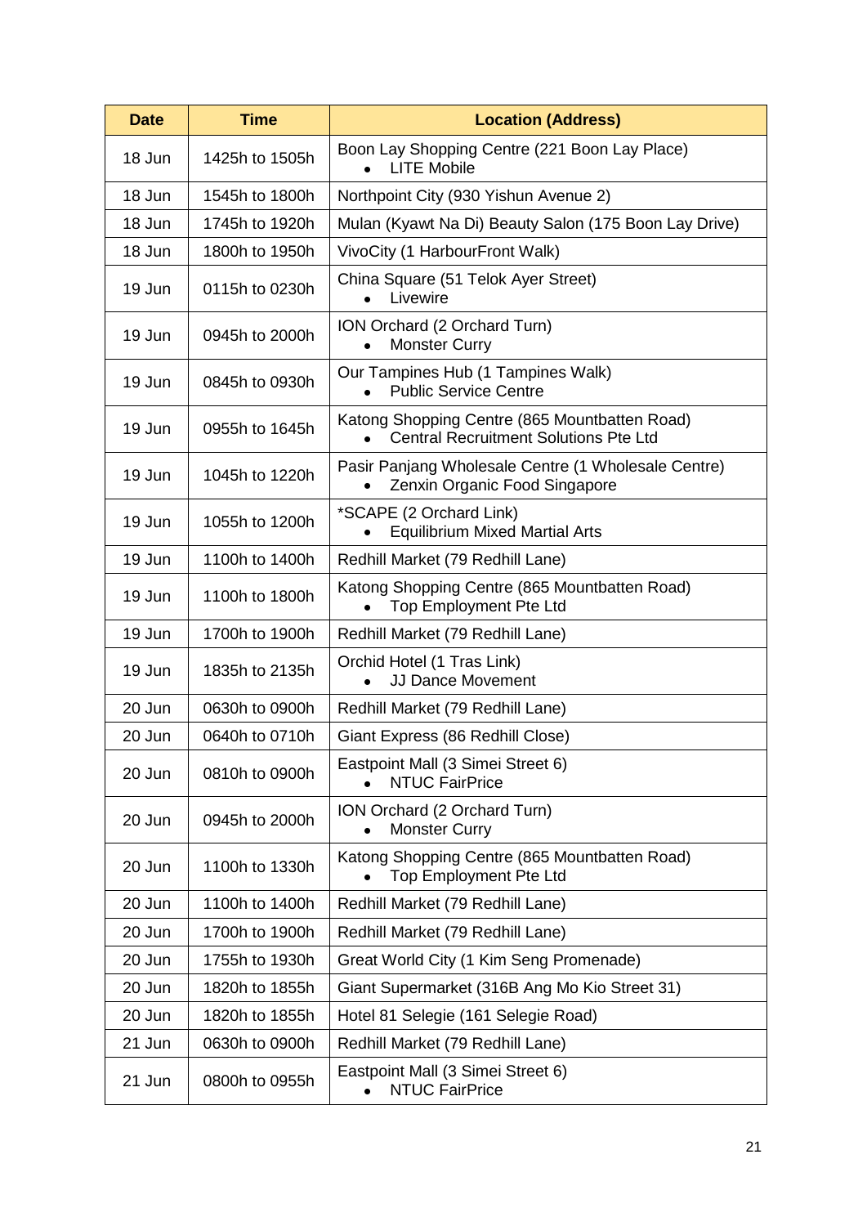| <b>Date</b> | <b>Time</b>    | <b>Location (Address)</b>                                                                     |
|-------------|----------------|-----------------------------------------------------------------------------------------------|
| 18 Jun      | 1425h to 1505h | Boon Lay Shopping Centre (221 Boon Lay Place)<br><b>LITE Mobile</b><br>$\bullet$              |
| 18 Jun      | 1545h to 1800h | Northpoint City (930 Yishun Avenue 2)                                                         |
| 18 Jun      | 1745h to 1920h | Mulan (Kyawt Na Di) Beauty Salon (175 Boon Lay Drive)                                         |
| 18 Jun      | 1800h to 1950h | VivoCity (1 HarbourFront Walk)                                                                |
| 19 Jun      | 0115h to 0230h | China Square (51 Telok Ayer Street)<br>Livewire<br>$\bullet$                                  |
| 19 Jun      | 0945h to 2000h | ION Orchard (2 Orchard Turn)<br><b>Monster Curry</b>                                          |
| 19 Jun      | 0845h to 0930h | Our Tampines Hub (1 Tampines Walk)<br><b>Public Service Centre</b>                            |
| 19 Jun      | 0955h to 1645h | Katong Shopping Centre (865 Mountbatten Road)<br><b>Central Recruitment Solutions Pte Ltd</b> |
| 19 Jun      | 1045h to 1220h | Pasir Panjang Wholesale Centre (1 Wholesale Centre)<br>Zenxin Organic Food Singapore          |
| 19 Jun      | 1055h to 1200h | *SCAPE (2 Orchard Link)<br><b>Equilibrium Mixed Martial Arts</b>                              |
| 19 Jun      | 1100h to 1400h | Redhill Market (79 Redhill Lane)                                                              |
| 19 Jun      | 1100h to 1800h | Katong Shopping Centre (865 Mountbatten Road)<br><b>Top Employment Pte Ltd</b>                |
| 19 Jun      | 1700h to 1900h | Redhill Market (79 Redhill Lane)                                                              |
| 19 Jun      | 1835h to 2135h | Orchid Hotel (1 Tras Link)<br><b>JJ Dance Movement</b>                                        |
| 20 Jun      | 0630h to 0900h | Redhill Market (79 Redhill Lane)                                                              |
| 20 Jun      | 0640h to 0710h | Giant Express (86 Redhill Close)                                                              |
| 20 Jun      | 0810h to 0900h | Eastpoint Mall (3 Simei Street 6)<br><b>NTUC FairPrice</b>                                    |
| 20 Jun      | 0945h to 2000h | ION Orchard (2 Orchard Turn)<br><b>Monster Curry</b>                                          |
| 20 Jun      | 1100h to 1330h | Katong Shopping Centre (865 Mountbatten Road)<br><b>Top Employment Pte Ltd</b>                |
| 20 Jun      | 1100h to 1400h | Redhill Market (79 Redhill Lane)                                                              |
| 20 Jun      | 1700h to 1900h | Redhill Market (79 Redhill Lane)                                                              |
| 20 Jun      | 1755h to 1930h | Great World City (1 Kim Seng Promenade)                                                       |
| 20 Jun      | 1820h to 1855h | Giant Supermarket (316B Ang Mo Kio Street 31)                                                 |
| 20 Jun      | 1820h to 1855h | Hotel 81 Selegie (161 Selegie Road)                                                           |
| 21 Jun      | 0630h to 0900h | Redhill Market (79 Redhill Lane)                                                              |
| 21 Jun      | 0800h to 0955h | Eastpoint Mall (3 Simei Street 6)<br><b>NTUC FairPrice</b>                                    |